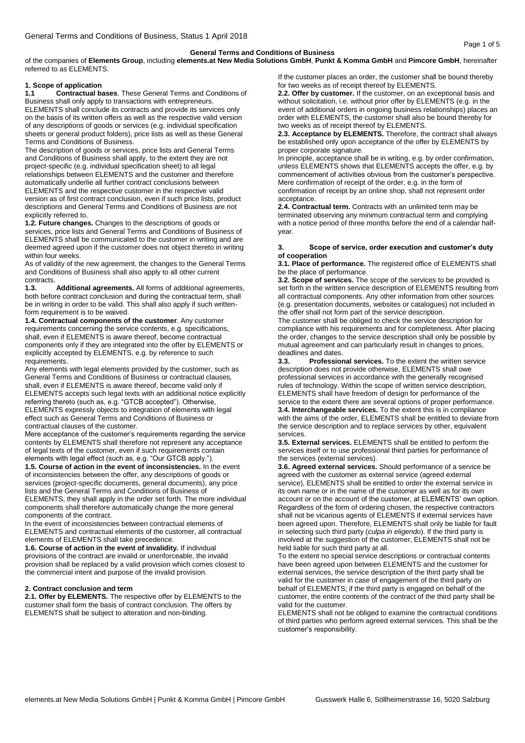# **General Terms and Conditions of Business**

## **1. Scope of application**

**1.1 Contractual bases**. These General Terms and Conditions of Business shall only apply to transactions with entrepreneurs. ELEMENTS shall conclude its contracts and provide its services only on the basis of its written offers as well as the respective valid version of any descriptions of goods or services (e.g. individual specification sheets or general product folders), price lists as well as these General

Terms and Conditions of Business. The description of goods or services, price lists and General Terms and Conditions of Business shall apply, to the extent they are not project-specific (e.g. individual specification sheet) to all legal relationships between ELEMENTS and the customer and therefore automatically underlie all further contract conclusions between ELEMENTS and the respective customer in the respective valid version as of first contract conclusion, even if such price lists, product descriptions and General Terms and Conditions of Business are not explicitly referred to.

**1.2. Future changes.** Changes to the descriptions of goods or services, price lists and General Terms and Conditions of Business of ELEMENTS shall be communicated to the customer in writing and are deemed agreed upon if the customer does not object thereto in writing within four weeks.

As of validity of the new agreement, the changes to the General Terms and Conditions of Business shall also apply to all other current contracts.<br>1.3

**1.3. Additional agreements.** All forms of additional agreements, both before contract conclusion and during the contractual term, shall be in writing in order to be valid. This shall also apply if such writtenform requirement is to be waived.

**1.4. Contractual components of the customer**. Any customer requirements concerning the service contents, e.g. specifications, shall, even if ELEMENTS is aware thereof, become contractual components only if they are integrated into the offer by ELEMENTS or explicitly accepted by ELEMENTS, e.g. by reference to such requirements.

Any elements with legal elements provided by the customer, such as General Terms and Conditions of Business or contractual clauses, shall, even if ELEMENTS is aware thereof, become valid only if ELEMENTS accepts such legal texts with an additional notice explicitly referring thereto (such as, e.g. "GTCB accepted"). Otherwise, ELEMENTS expressly objects to integration of elements with legal effect such as General Terms and Conditions of Business or contractual clauses of the customer.

Mere acceptance of the customer's requirements regarding the service contents by ELEMENTS shall therefore not represent any acceptance of legal texts of the customer, even if such requirements contain elements with legal effect (such as, e.g. "Our GTCB apply.").

**1.5. Course of action in the event of inconsistencies.** In the event of inconsistencies between the offer, any descriptions of goods or services (project-specific documents, general documents), any price lists and the General Terms and Conditions of Business of ELEMENTS, they shall apply in the order set forth. The more individual components shall therefore automatically change the more general components of the contract.

In the event of inconsistencies between contractual elements of ELEMENTS and contractual elements of the customer, all contractual elements of ELEMENTS shall take precedence.

**1.6. Course of action in the event of invalidity.** If individual provisions of the contract are invalid or unenforceable, the invalid provision shall be replaced by a valid provision which comes closest to the commercial intent and purpose of the invalid provision.

## **2. Contract conclusion and term**

**2.1. Offer by ELEMENTS.** The respective offer by ELEMENTS to the customer shall form the basis of contract conclusion. The offers by ELEMENTS shall be subject to alteration and non-binding.

If the customer places an order, the customer shall be bound thereby for two weeks as of receipt thereof by ELEMENTS.

**2.2. Offer by customer.** If the customer, on an exceptional basis and without solicitation, i.e. without prior offer by ELEMENTS (e.g. in the event of additional orders in ongoing business relationships) places an order with ELEMENTS, the customer shall also be bound thereby for two weeks as of receipt thereof by ELEMENTS.

**2.3. Acceptance by ELEMENTS.** Therefore, the contract shall always be established only upon acceptance of the offer by ELEMENTS by proper corporate signature.

In principle, acceptance shall be in writing, e.g. by order confirmation, unless ELEMENTS shows that ELEMENTS accepts the offer, e.g. by commencement of activities obvious from the customer's perspective. Mere confirmation of receipt of the order, e.g. in the form of confirmation of receipt by an online shop, shall not represent order acceptance.

**2.4. Contractual term.** Contracts with an unlimited term may be terminated observing any minimum contractual term and complying with a notice period of three months before the end of a calendar halfyear.

### **3. Scope of service, order execution and customer's duty of cooperation**

**3.1. Place of performance.** The registered office of ELEMENTS shall be the place of performance.

**3.2. Scope of services.** The scope of the services to be provided is set forth in the written service description of ELEMENTS resulting from all contractual components. Any other information from other sources (e.g. presentation documents, websites or catalogues) not included in the offer shall not form part of the service description.

The customer shall be obliged to check the service description for compliance with his requirements and for completeness. After placing the order, changes to the service description shall only be possible by mutual agreement and can particularly result in changes to prices, deadlines and dates.

**3.3. Professional services.** To the extent the written service description does not provide otherwise, ELEMENTS shall owe professional services in accordance with the generally recognised rules of technology. Within the scope of written service description, ELEMENTS shall have freedom of design for performance of the service to the extent there are several options of proper performance. **3.4. Interchangeable services.** To the extent this is in compliance with the aims of the order, ELEMENTS shall be entitled to deviate from the service description and to replace services by other, equivalent services.

**3.5. External services.** ELEMENTS shall be entitled to perform the services itself or to use professional third parties for performance of the services (external services).

**3.6. Agreed external services.** Should performance of a service be agreed with the customer as external service (agreed external service), ELEMENTS shall be entitled to order the external service in its own name or in the name of the customer as well as for its own account or on the account of the customer, at ELEMENTS' own option. Regardless of the form of ordering chosen, the respective contractors shall not be vicarious agents of ELEMENTS if external services have been agreed upon. Therefore, ELEMENTS shall only be liable for fault in selecting such third party (*culpa in eligendo*). If the third party is involved at the suggestion of the customer, ELEMENTS shall not be held liable for such third party at all.

To the extent no special service descriptions or contractual contents have been agreed upon between ELEMENTS and the customer for external services, the service description of the third party shall be valid for the customer in case of engagement of the third party on behalf of ELEMENTS; if the third party is engaged on behalf of the customer, the entire contents of the contract of the third party shall be valid for the customer.

ELEMENTS shall not be obliged to examine the contractual conditions of third parties who perform agreed external services. This shall be the customer's responsibility.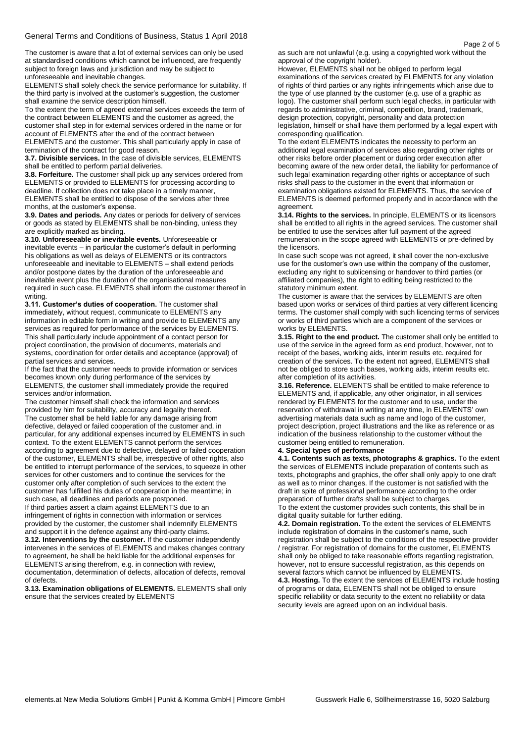The customer is aware that a lot of external services can only be used at standardised conditions which cannot be influenced, are frequently subject to foreign laws and jurisdiction and may be subject to unforeseeable and inevitable changes.

ELEMENTS shall solely check the service performance for suitability. If the third party is involved at the customer's suggestion, the customer shall examine the service description himself.

To the extent the term of agreed external services exceeds the term of the contract between ELEMENTS and the customer as agreed, the customer shall step in for external services ordered in the name or for account of ELEMENTS after the end of the contract between ELEMENTS and the customer. This shall particularly apply in case of termination of the contract for good reason.

**3.7. Divisible services.** In the case of divisible services, ELEMENTS shall be entitled to perform partial deliveries.

**3.8. Forfeiture.** The customer shall pick up any services ordered from ELEMENTS or provided to ELEMENTS for processing according to deadline. If collection does not take place in a timely manner, ELEMENTS shall be entitled to dispose of the services after three months, at the customer's expense.

**3.9. Dates and periods.** Any dates or periods for delivery of services or goods as stated by ELEMENTS shall be non-binding, unless they are explicitly marked as binding.

**3.10. Unforeseeable or inevitable events.** Unforeseeable or inevitable events – in particular the customer's default in performing his obligations as well as delays of ELEMENTS or its contractors unforeseeable and inevitable to ELEMENTS – shall extend periods and/or postpone dates by the duration of the unforeseeable and inevitable event plus the duration of the organisational measures required in such case. ELEMENTS shall inform the customer thereof in writing.

**3.11. Customer's duties of cooperation.** The customer shall immediately, without request, communicate to ELEMENTS any information in editable form in writing and provide to ELEMENTS any services as required for performance of the services by ELEMENTS. This shall particularly include appointment of a contact person for project coordination, the provision of documents, materials and systems, coordination for order details and acceptance (approval) of partial services and services.

If the fact that the customer needs to provide information or services becomes known only during performance of the services by ELEMENTS, the customer shall immediately provide the required services and/or information.

The customer himself shall check the information and services provided by him for suitability, accuracy and legality thereof. The customer shall be held liable for any damage arising from defective, delayed or failed cooperation of the customer and, in particular, for any additional expenses incurred by ELEMENTS in such context. To the extent ELEMENTS cannot perform the services according to agreement due to defective, delayed or failed cooperation of the customer, ELEMENTS shall be, irrespective of other rights, also be entitled to interrupt performance of the services, to squeeze in other services for other customers and to continue the services for the customer only after completion of such services to the extent the customer has fulfilled his duties of cooperation in the meantime; in such case, all deadlines and periods are postponed.

If third parties assert a claim against ELEMENTS due to an infringement of rights in connection with information or services provided by the customer, the customer shall indemnify ELEMENTS and support it in the defence against any third-party claims.

**3.12. Interventions by the customer.** If the customer independently intervenes in the services of ELEMENTS and makes changes contrary to agreement, he shall be held liable for the additional expenses for ELEMENTS arising therefrom, e.g. in connection with review, documentation, determination of defects, allocation of defects, removal of defects.

**3.13. Examination obligations of ELEMENTS.** ELEMENTS shall only ensure that the services created by ELEMENTS

as such are not unlawful (e.g. using a copyrighted work without the approval of the copyright holder).

However, ELEMENTS shall not be obliged to perform legal examinations of the services created by ELEMENTS for any violation of rights of third parties or any rights infringements which arise due to the type of use planned by the customer (e.g. use of a graphic as logo). The customer shall perform such legal checks, in particular with regards to administrative, criminal, competition, brand, trademark, design protection, copyright, personality and data protection legislation, himself or shall have them performed by a legal expert with corresponding qualification.

To the extent ELEMENTS indicates the necessity to perform an additional legal examination of services also regarding other rights or other risks before order placement or during order execution after becoming aware of the new order detail, the liability for performance of such legal examination regarding other rights or acceptance of such risks shall pass to the customer in the event that information or examination obligations existed for ELEMENTS. Thus, the service of ELEMENTS is deemed performed properly and in accordance with the agreement.

**3.14. Rights to the services.** In principle, ELEMENTS or its licensors shall be entitled to all rights in the agreed services. The customer shall be entitled to use the services after full payment of the agreed remuneration in the scope agreed with ELEMENTS or pre-defined by the licensors.

In case such scope was not agreed, it shall cover the non-exclusive use for the customer's own use within the company of the customer, excluding any right to sublicensing or handover to third parties (or affiliated companies), the right to editing being restricted to the statutory minimum extent.

The customer is aware that the services by ELEMENTS are often based upon works or services of third parties at very different licencing terms. The customer shall comply with such licencing terms of services or works of third parties which are a component of the services or works by ELEMENTS.

**3.15. Right to the end product.** The customer shall only be entitled to use of the service in the agreed form as end product, however, not to receipt of the bases, working aids, interim results etc. required for creation of the services. To the extent not agreed, ELEMENTS shall not be obliged to store such bases, working aids, interim results etc. after completion of its activities.

**3.16. Reference.** ELEMENTS shall be entitled to make reference to ELEMENTS and, if applicable, any other originator, in all services rendered by ELEMENTS for the customer and to use, under the reservation of withdrawal in writing at any time, in ELEMENTS' own advertising materials data such as name and logo of the customer, project description, project illustrations and the like as reference or as indication of the business relationship to the customer without the customer being entitled to remuneration.

#### **4. Special types of performance**

**4.1. Contents such as texts, photographs & graphics.** To the extent the services of ELEMENTS include preparation of contents such as texts, photographs and graphics, the offer shall only apply to one draft as well as to minor changes. If the customer is not satisfied with the draft in spite of professional performance according to the order preparation of further drafts shall be subject to charges. To the extent the customer provides such contents, this shall be in

digital quality suitable for further editing.

**4.2. Domain registration.** To the extent the services of ELEMENTS include registration of domains in the customer's name, such registration shall be subject to the conditions of the respective provider / registrar. For registration of domains for the customer, ELEMENTS shall only be obliged to take reasonable efforts regarding registration, however, not to ensure successful registration, as this depends on several factors which cannot be influenced by ELEMENTS. **4.3. Hosting.** To the extent the services of ELEMENTS include hosting of programs or data, ELEMENTS shall not be obliged to ensure specific reliability or data security to the extent no reliability or data security levels are agreed upon on an individual basis.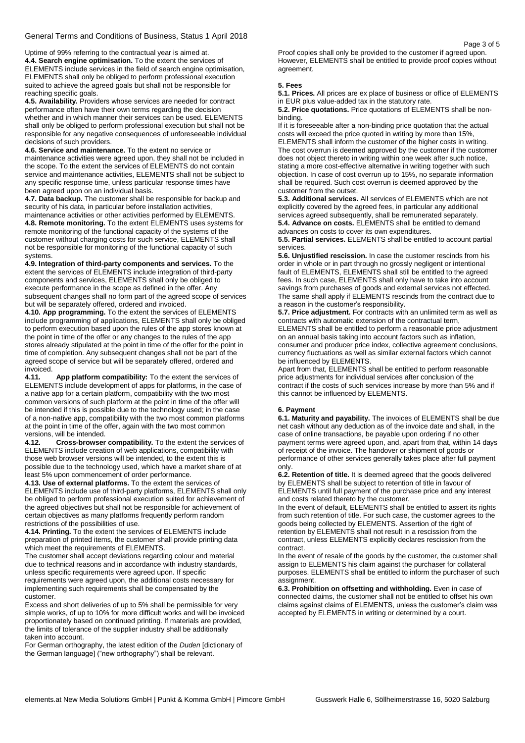# General Terms and Conditions of Business, Status 1 April 2018

Uptime of 99% referring to the contractual year is aimed at. **4.4. Search engine optimisation.** To the extent the services of ELEMENTS include services in the field of search engine optimisation, ELEMENTS shall only be obliged to perform professional execution suited to achieve the agreed goals but shall not be responsible for reaching specific goals.

**4.5. Availability.** Providers whose services are needed for contract performance often have their own terms regarding the decision whether and in which manner their services can be used. ELEMENTS shall only be obliged to perform professional execution but shall not be responsible for any negative consequences of unforeseeable individual decisions of such providers.

**4.6. Service and maintenance.** To the extent no service or maintenance activities were agreed upon, they shall not be included in the scope. To the extent the services of ELEMENTS do not contain service and maintenance activities, ELEMENTS shall not be subject to any specific response time, unless particular response times have been agreed upon on an individual basis.

**4.7. Data backup.** The customer shall be responsible for backup and security of his data, in particular before installation activities, maintenance activities or other activities performed by ELEMENTS. **4.8. Remote monitoring.** To the extent ELEMENTS uses systems for remote monitoring of the functional capacity of the systems of the customer without charging costs for such service, ELEMENTS shall not be responsible for monitoring of the functional capacity of such systems.

**4.9. Integration of third-party components and services.** To the extent the services of ELEMENTS include integration of third-party components and services, ELEMENTS shall only be obliged to execute performance in the scope as defined in the offer. Any subsequent changes shall no form part of the agreed scope of services but will be separately offered, ordered and invoiced.

**4.10. App programming.** To the extent the services of ELEMENTS include programming of applications, ELEMENTS shall only be obliged to perform execution based upon the rules of the app stores known at the point in time of the offer or any changes to the rules of the app stores already stipulated at the point in time of the offer for the point in time of completion. Any subsequent changes shall not be part of the agreed scope of service but will be separately offered, ordered and invoiced.

**4.11. App platform compatibility:** To the extent the services of ELEMENTS include development of apps for platforms, in the case of a native app for a certain platform, compatibility with the two most common versions of such platform at the point in time of the offer will be intended if this is possible due to the technology used; in the case of a non-native app, compatibility with the two most common platforms at the point in time of the offer, again with the two most common versions, will be intended.

**4.12. Cross-browser compatibility.** To the extent the services of ELEMENTS include creation of web applications, compatibility with those web browser versions will be intended, to the extent this is possible due to the technology used, which have a market share of at least 5% upon commencement of order performance.

**4.13. Use of external platforms.** To the extent the services of ELEMENTS include use of third-party platforms, ELEMENTS shall only be obliged to perform professional execution suited for achievement of the agreed objectives but shall not be responsible for achievement of certain objectives as many platforms frequently perform random restrictions of the possibilities of use.

**4.14. Printing.** To the extent the services of ELEMENTS include preparation of printed items, the customer shall provide printing data which meet the requirements of ELEMENTS.

The customer shall accept deviations regarding colour and material due to technical reasons and in accordance with industry standards, unless specific requirements were agreed upon. If specific requirements were agreed upon, the additional costs necessary for implementing such requirements shall be compensated by the

customer. Excess and short deliveries of up to 5% shall be permissible for very simple works, of up to 10% for more difficult works and will be invoiced proportionately based on continued printing. If materials are provided, the limits of tolerance of the supplier industry shall be additionally taken into account.

For German orthography, the latest edition of the *Duden* [dictionary of the German language] ("new orthography") shall be relevant.

Proof copies shall only be provided to the customer if agreed upon. However, ELEMENTS shall be entitled to provide proof copies without agreement.

#### **5. Fees**

**5.1. Prices.** All prices are ex place of business or office of ELEMENTS in EUR plus value-added tax in the statutory rate.

**5.2. Price quotations.** Price quotations of ELEMENTS shall be nonbinding.

If it is foreseeable after a non-binding price quotation that the actual costs will exceed the price quoted in writing by more than 15%, ELEMENTS shall inform the customer of the higher costs in writing. The cost overrun is deemed approved by the customer if the customer does not object thereto in writing within one week after such notice, stating a more cost-effective alternative in writing together with such objection. In case of cost overrun up to 15%, no separate information shall be required. Such cost overrun is deemed approved by the customer from the outset.

**5.3. Additional services.** All services of ELEMENTS which are not explicitly covered by the agreed fees, in particular any additional services agreed subsequently, shall be remunerated separately. **5.4. Advance on costs.** ELEMENTS shall be entitled to demand advances on costs to cover its own expenditures.

**5.5. Partial services.** ELEMENTS shall be entitled to account partial services.

**5.6. Unjustified rescission.** In case the customer rescinds from his order in whole or in part through no grossly negligent or intentional fault of ELEMENTS, ELEMENTS shall still be entitled to the agreed fees. In such case, ELEMENTS shall only have to take into account savings from purchases of goods and external services not effected. The same shall apply if ELEMENTS rescinds from the contract due to a reason in the customer's responsibility.

**5.7. Price adjustment.** For contracts with an unlimited term as well as contracts with automatic extension of the contractual term, ELEMENTS shall be entitled to perform a reasonable price adjustment on an annual basis taking into account factors such as inflation, consumer and producer price index, collective agreement conclusions, currency fluctuations as well as similar external factors which cannot be influenced by ELEMENTS.

Apart from that, ELEMENTS shall be entitled to perform reasonable price adjustments for individual services after conclusion of the contract if the costs of such services increase by more than 5% and if this cannot be influenced by ELEMENTS.

## **6. Payment**

**6.1. Maturity and payability.** The invoices of ELEMENTS shall be due net cash without any deduction as of the invoice date and shall, in the case of online transactions, be payable upon ordering if no other payment terms were agreed upon, and, apart from that, within 14 days of receipt of the invoice. The handover or shipment of goods or performance of other services generally takes place after full payment only.

**6.2. Retention of title.** It is deemed agreed that the goods delivered by ELEMENTS shall be subject to retention of title in favour of ELEMENTS until full payment of the purchase price and any interest and costs related thereto by the customer.

In the event of default, ELEMENTS shall be entitled to assert its rights from such retention of title. For such case, the customer agrees to the goods being collected by ELEMENTS. Assertion of the right of retention by ELEMENTS shall not result in a rescission from the contract, unless ELEMENTS explicitly declares rescission from the contract.

In the event of resale of the goods by the customer, the customer shall assign to ELEMENTS his claim against the purchaser for collateral purposes. ELEMENTS shall be entitled to inform the purchaser of such assignment.

**6.3. Prohibition on offsetting and withholding.** Even in case of connected claims, the customer shall not be entitled to offset his own claims against claims of ELEMENTS, unless the customer's claim was accepted by ELEMENTS in writing or determined by a court.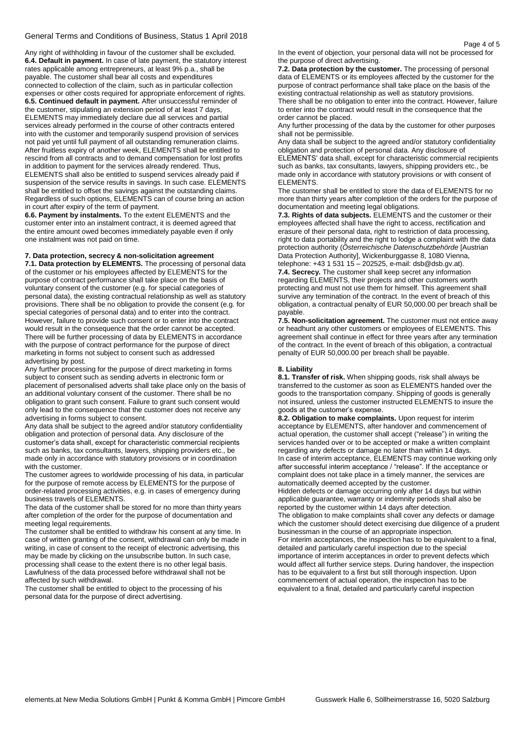Any right of withholding in favour of the customer shall be excluded. **6.4. Default in payment.** In case of late payment, the statutory interest rates applicable among entrepreneurs, at least 9% p.a., shall be payable. The customer shall bear all costs and expenditures connected to collection of the claim, such as in particular collection expenses or other costs required for appropriate enforcement of rights. **6.5. Continued default in payment.** After unsuccessful reminder of the customer, stipulating an extension period of at least 7 days, ELEMENTS may immediately declare due all services and partial services already performed in the course of other contracts entered into with the customer and temporarily suspend provision of services not paid yet until full payment of all outstanding remuneration claims. After fruitless expiry of another week, ELEMENTS shall be entitled to rescind from all contracts and to demand compensation for lost profits in addition to payment for the services already rendered. Thus, ELEMENTS shall also be entitled to suspend services already paid if suspension of the service results in savings. In such case. ELEMENTS shall be entitled to offset the savings against the outstanding claims. Regardless of such options, ELEMENTS can of course bring an action in court after expiry of the term of payment.

**6.6. Payment by instalments.** To the extent ELEMENTS and the customer enter into an instalment contract, it is deemed agreed that the entire amount owed becomes immediately payable even if only one instalment was not paid on time.

## **7. Data protection, secrecy & non-solicitation agreement**

**7.1. Data protection by ELEMENTS.** The processing of personal data of the customer or his employees affected by ELEMENTS for the purpose of contract performance shall take place on the basis of voluntary consent of the customer (e.g. for special categories of personal data), the existing contractual relationship as well as statutory provisions. There shall be no obligation to provide the consent (e.g. for special categories of personal data) and to enter into the contract. However, failure to provide such consent or to enter into the contract would result in the consequence that the order cannot be accepted. There will be further processing of data by ELEMENTS in accordance with the purpose of contract performance for the purpose of direct marketing in forms not subject to consent such as addressed advertising by post.

Any further processing for the purpose of direct marketing in forms subject to consent such as sending adverts in electronic form or placement of personalised adverts shall take place only on the basis of an additional voluntary consent of the customer. There shall be no obligation to grant such consent. Failure to grant such consent would only lead to the consequence that the customer does not receive any advertising in forms subject to consent.

Any data shall be subject to the agreed and/or statutory confidentiality obligation and protection of personal data. Any disclosure of the customer's data shall, except for characteristic commercial recipients such as banks, tax consultants, lawyers, shipping providers etc., be made only in accordance with statutory provisions or in coordination with the customer.

The customer agrees to worldwide processing of his data, in particular for the purpose of remote access by ELEMENTS for the purpose of order-related processing activities, e.g. in cases of emergency during business travels of ELEMENTS.

The data of the customer shall be stored for no more than thirty years after completion of the order for the purpose of documentation and meeting legal requirements.

The customer shall be entitled to withdraw his consent at any time. In case of written granting of the consent, withdrawal can only be made in writing, in case of consent to the receipt of electronic advertising, this may be made by clicking on the unsubscribe button. In such case, processing shall cease to the extent there is no other legal basis. Lawfulness of the data processed before withdrawal shall not be affected by such withdrawal.

The customer shall be entitled to object to the processing of his personal data for the purpose of direct advertising.

In the event of objection, your personal data will not be processed for the purpose of direct advertising.

**7.2. Data protection by the customer.** The processing of personal data of ELEMENTS or its employees affected by the customer for the purpose of contract performance shall take place on the basis of the existing contractual relationship as well as statutory provisions. There shall be no obligation to enter into the contract. However, failure to enter into the contract would result in the consequence that the order cannot be placed.

Any further processing of the data by the customer for other purposes shall not be permissible.

Any data shall be subject to the agreed and/or statutory confidentiality obligation and protection of personal data. Any disclosure of

ELEMENTS' data shall, except for characteristic commercial recipients such as banks, tax consultants, lawyers, shipping providers etc., be made only in accordance with statutory provisions or with consent of ELEMENTS.

The customer shall be entitled to store the data of ELEMENTS for no more than thirty years after completion of the orders for the purpose of documentation and meeting legal obligations.

**7.3. Rights of data subjects.** ELEMENTS and the customer or their employees affected shall have the right to access, rectification and erasure of their personal data, right to restriction of data processing, right to data portability and the right to lodge a complaint with the data protection authority (*Österreichische Datenschutzbehörde* [Austrian Data Protection Authority], Wickenburggasse 8, 1080 Vienna, telephone: +43 1 531 15 – 202525, e-mail: dsb@dsb.gv.at).

**7.4. Secrecy.** The customer shall keep secret any information regarding ELEMENTS, their projects and other customers worth protecting and must not use them for himself. This agreement shall survive any termination of the contract. In the event of breach of this obligation, a contractual penalty of EUR 50,000.00 per breach shall be payable.

**7.5. Non-solicitation agreement.** The customer must not entice away or headhunt any other customers or employees of ELEMENTS. This agreement shall continue in effect for three years after any termination of the contract. In the event of breach of this obligation, a contractual penalty of EUR 50,000.00 per breach shall be payable.

## **8. Liability**

**8.1. Transfer of risk.** When shipping goods, risk shall always be transferred to the customer as soon as ELEMENTS handed over the goods to the transportation company. Shipping of goods is generally not insured, unless the customer instructed ELEMENTS to insure the goods at the customer's expense.

**8.2. Obligation to make complaints.** Upon request for interim acceptance by ELEMENTS, after handover and commencement of actual operation, the customer shall accept ("release") in writing the services handed over or to be accepted or make a written complaint regarding any defects or damage no later than within 14 days. In case of interim acceptance, ELEMENTS may continue working only after successful interim acceptance / "release". If the acceptance or complaint does not take place in a timely manner, the services are automatically deemed accepted by the customer. Hidden defects or damage occurring only after 14 days but within applicable guarantee, warranty or indemnity periods shall also be

reported by the customer within 14 days after detection. The obligation to make complaints shall cover any defects or damage

which the customer should detect exercising due diligence of a prudent businessman in the course of an appropriate inspection. For interim acceptances, the inspection has to be equivalent to a final, detailed and particularly careful inspection due to the special importance of interim acceptances in order to prevent defects which would affect all further service steps. During handover, the inspection has to be equivalent to a first but still thorough inspection. Upon commencement of actual operation, the inspection has to be equivalent to a final, detailed and particularly careful inspection